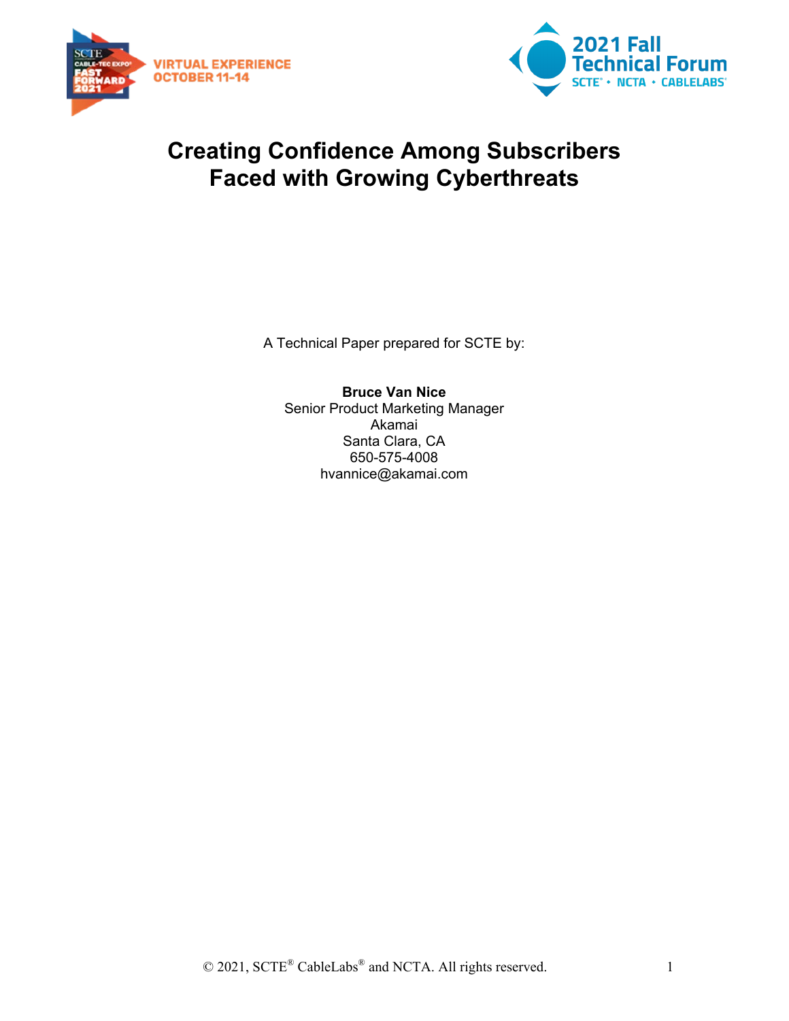



## **Creating Confidence Among Subscribers Faced with Growing Cyberthreats**

A Technical Paper prepared for SCTE by:

**Bruce Van Nice** Senior Product Marketing Manager Akamai Santa Clara, CA 650-575-4008 hvannice@akamai.com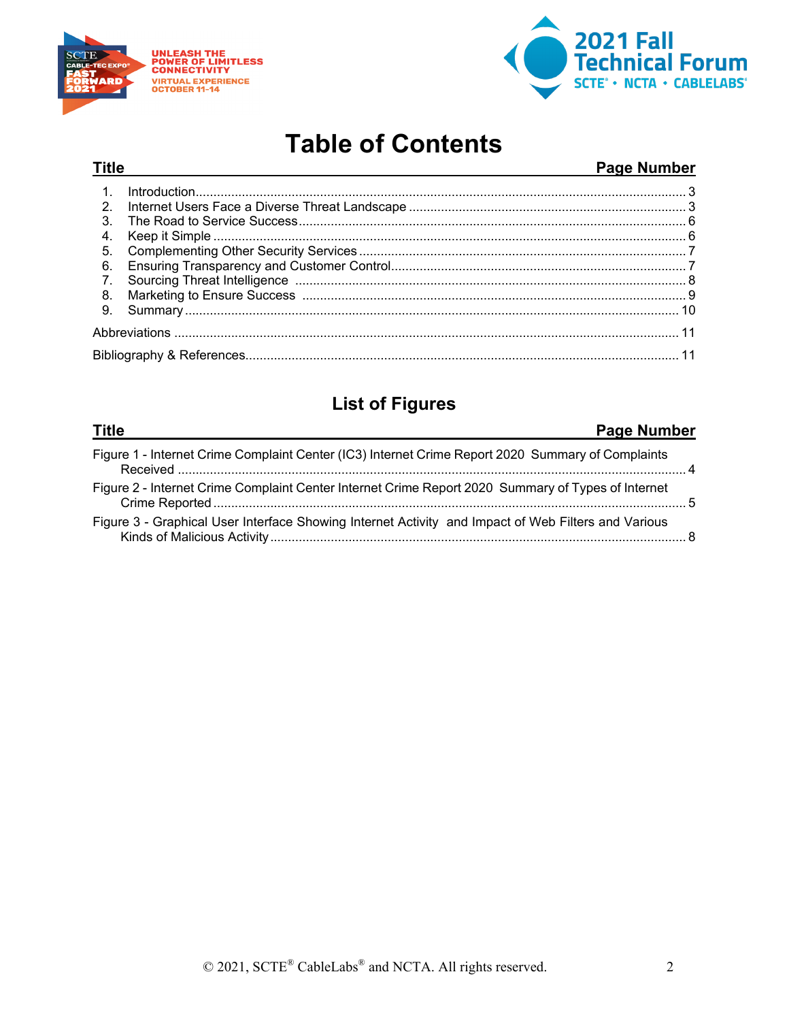

**Title** 



## **Table of Contents**

#### Page Number

| 2.               |  |  |
|------------------|--|--|
| 3.               |  |  |
| 4.               |  |  |
| 5.               |  |  |
| 6.               |  |  |
| $\overline{7}$ . |  |  |
| -8.              |  |  |
| 9.               |  |  |
|                  |  |  |
|                  |  |  |

### **List of Figures**

| <u>Title</u><br>Page Number                                                                         |  |
|-----------------------------------------------------------------------------------------------------|--|
| Figure 1 - Internet Crime Complaint Center (IC3) Internet Crime Report 2020 Summary of Complaints   |  |
| Figure 2 - Internet Crime Complaint Center Internet Crime Report 2020 Summary of Types of Internet  |  |
| Figure 3 - Graphical User Interface Showing Internet Activity and Impact of Web Filters and Various |  |
|                                                                                                     |  |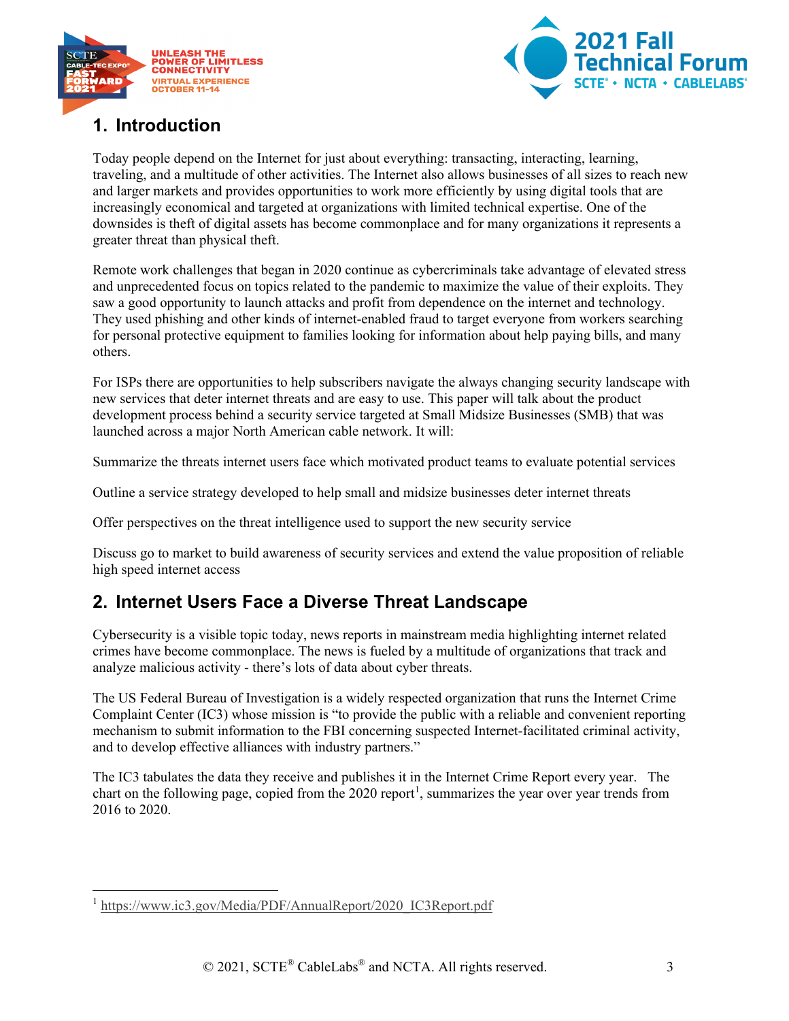



### <span id="page-2-0"></span>**1. Introduction**

Today people depend on the Internet for just about everything: transacting, interacting, learning, traveling, and a multitude of other activities. The Internet also allows businesses of all sizes to reach new and larger markets and provides opportunities to work more efficiently by using digital tools that are increasingly economical and targeted at organizations with limited technical expertise. One of the downsides is theft of digital assets has become commonplace and for many organizations it represents a greater threat than physical theft.

Remote work challenges that began in 2020 continue as cybercriminals take advantage of elevated stress and unprecedented focus on topics related to the pandemic to maximize the value of their exploits. They saw a good opportunity to launch attacks and profit from dependence on the internet and technology. They used phishing and other kinds of internet-enabled fraud to target everyone from workers searching for personal protective equipment to families looking for information about help paying bills, and many others.

For ISPs there are opportunities to help subscribers navigate the always changing security landscape with new services that deter internet threats and are easy to use. This paper will talk about the product development process behind a security service targeted at Small Midsize Businesses (SMB) that was launched across a major North American cable network. It will:

Summarize the threats internet users face which motivated product teams to evaluate potential services

Outline a service strategy developed to help small and midsize businesses deter internet threats

Offer perspectives on the threat intelligence used to support the new security service

Discuss go to market to build awareness of security services and extend the value proposition of reliable high speed internet access

#### <span id="page-2-1"></span>**2. Internet Users Face a Diverse Threat Landscape**

Cybersecurity is a visible topic today, news reports in mainstream media highlighting internet related crimes have become commonplace. The news is fueled by a multitude of organizations that track and analyze malicious activity - there's lots of data about cyber threats.

The US Federal Bureau of Investigation is a widely respected organization that runs the Internet Crime Complaint Center (IC3) whose mission is "to provide the public with a reliable and convenient reporting mechanism to submit information to the FBI concerning suspected Internet-facilitated criminal activity, and to develop effective alliances with industry partners."

The IC3 tabulates the data they receive and publishes it in the Internet Crime Report every year. The chart on the following page, copied from the  $2020$  report<sup>[1](#page-2-2)</sup>, summarizes the year over year trends from 2016 to 2020.

<span id="page-2-2"></span><sup>&</sup>lt;sup>1</sup> [https://www.ic3.gov/Media/PDF/AnnualReport/2020\\_IC3Report.pdf](https://www.ic3.gov/Media/PDF/AnnualReport/2020_IC3Report.pdf)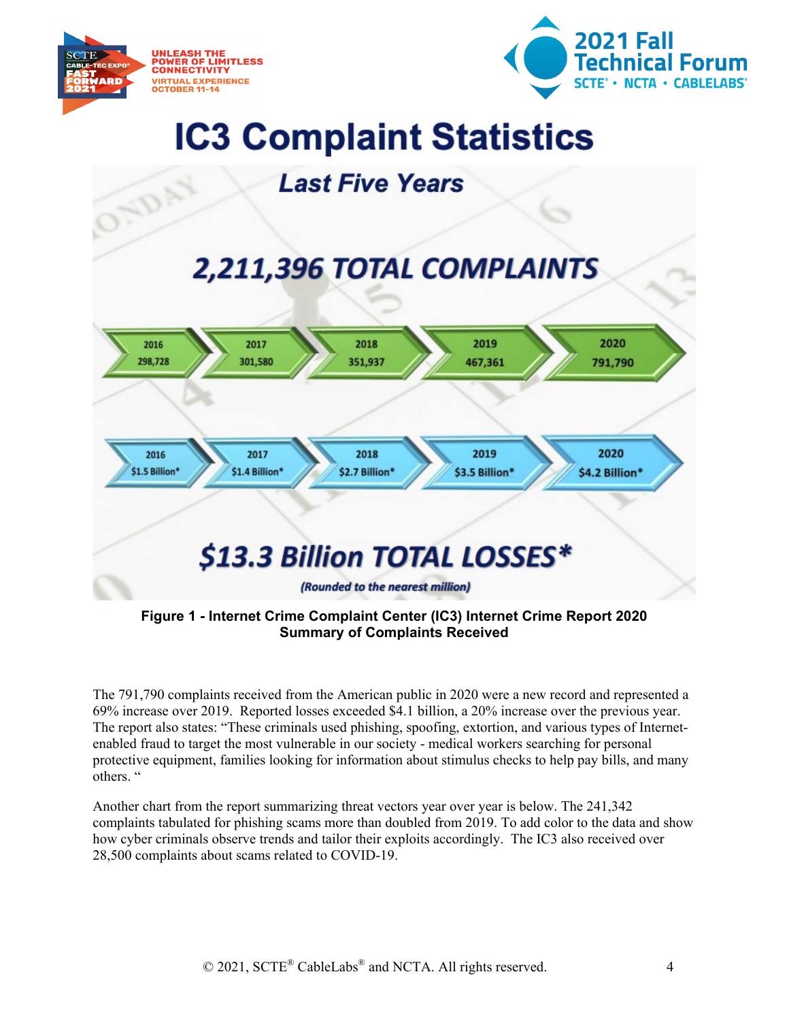

**ADA** 



# **IC3 Complaint Statistics**

## **Last Five Years**

# 2,211,396 TOTAL COMPLAINTS



<span id="page-3-0"></span>**Figure 1 - Internet Crime Complaint Center (IC3) Internet Crime Report 2020 Summary of Complaints Received**

The 791,790 complaints received from the American public in 2020 were a new record and represented a 69% increase over 2019. Reported losses exceeded \$4.1 billion, a 20% increase over the previous year. The report also states: "These criminals used phishing, spoofing, extortion, and various types of Internetenabled fraud to target the most vulnerable in our society - medical workers searching for personal protective equipment, families looking for information about stimulus checks to help pay bills, and many others. "

Another chart from the report summarizing threat vectors year over year is below. The 241,342 complaints tabulated for phishing scams more than doubled from 2019. To add color to the data and show how cyber criminals observe trends and tailor their exploits accordingly. The IC3 also received over 28,500 complaints about scams related to COVID-19.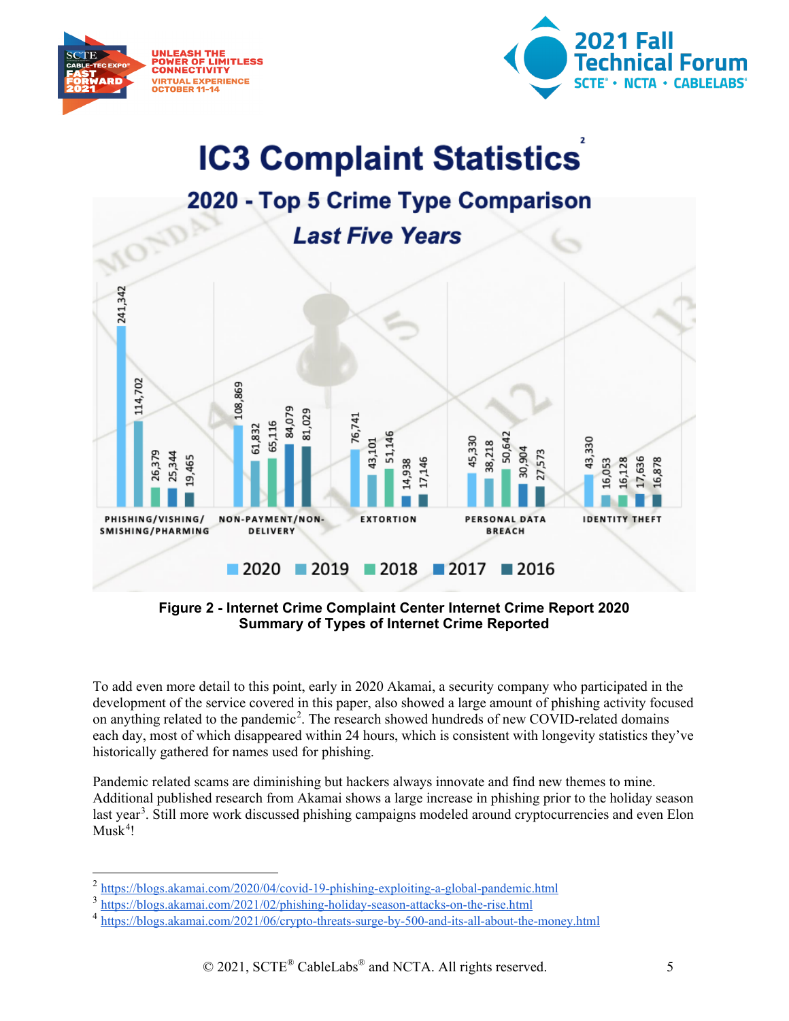



# **IC3 Complaint Statistics**



<span id="page-4-0"></span>**Figure 2 - Internet Crime Complaint Center Internet Crime Report 2020 Summary of Types of Internet Crime Reported**

To add even more detail to this point, early in 2020 Akamai, a security company who participated in the development of the service covered in this paper, also showed a large amount of phishing activity focused on anything related to the pandemic<sup>[2](#page-4-1)</sup>. The research showed hundreds of new COVID-related domains each day, most of which disappeared within 24 hours, which is consistent with longevity statistics they've historically gathered for names used for phishing.

Pandemic related scams are diminishing but hackers always innovate and find new themes to mine. Additional published research from Akamai shows a large increase in phishing prior to the holiday season last year<sup>[3](#page-4-2)</sup>. Still more work discussed phishing campaigns modeled around cryptocurrencies and even Elon  $Musk<sup>4</sup>!$  $Musk<sup>4</sup>!$  $Musk<sup>4</sup>!$ 

<span id="page-4-1"></span><sup>2</sup> <https://blogs.akamai.com/2020/04/covid-19-phishing-exploiting-a-global-pandemic.html>

<span id="page-4-2"></span><sup>3</sup> <https://blogs.akamai.com/2021/02/phishing-holiday-season-attacks-on-the-rise.html>

<span id="page-4-3"></span><sup>4</sup> <https://blogs.akamai.com/2021/06/crypto-threats-surge-by-500-and-its-all-about-the-money.html>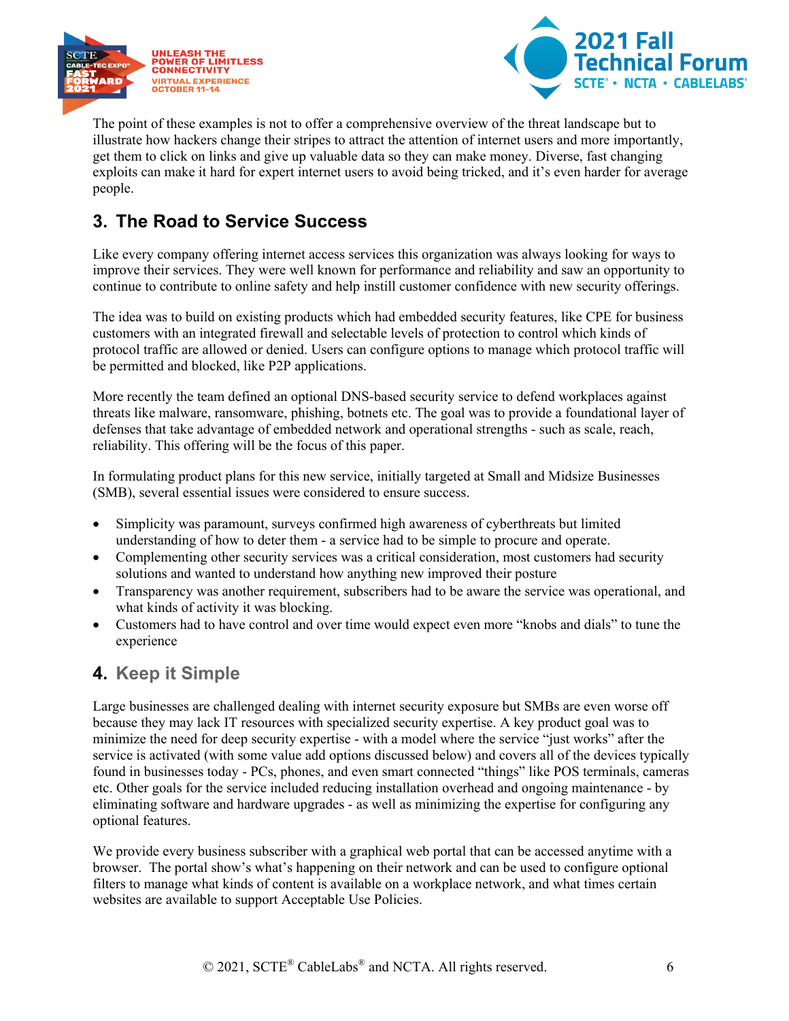



The point of these examples is not to offer a comprehensive overview of the threat landscape but to illustrate how hackers change their stripes to attract the attention of internet users and more importantly, get them to click on links and give up valuable data so they can make money. Diverse, fast changing exploits can make it hard for expert internet users to avoid being tricked, and it's even harder for average people.

#### <span id="page-5-0"></span>**3. The Road to Service Success**

Like every company offering internet access services this organization was always looking for ways to improve their services. They were well known for performance and reliability and saw an opportunity to continue to contribute to online safety and help instill customer confidence with new security offerings.

The idea was to build on existing products which had embedded security features, like CPE for business customers with an integrated firewall and selectable levels of protection to control which kinds of protocol traffic are allowed or denied. Users can configure options to manage which protocol traffic will be permitted and blocked, like P2P applications.

More recently the team defined an optional DNS-based security service to defend workplaces against threats like malware, ransomware, phishing, botnets etc. The goal was to provide a foundational layer of defenses that take advantage of embedded network and operational strengths - such as scale, reach, reliability. This offering will be the focus of this paper.

In formulating product plans for this new service, initially targeted at Small and Midsize Businesses (SMB), several essential issues were considered to ensure success.

- Simplicity was paramount, surveys confirmed high awareness of cyberthreats but limited understanding of how to deter them - a service had to be simple to procure and operate.
- Complementing other security services was a critical consideration, most customers had security solutions and wanted to understand how anything new improved their posture
- Transparency was another requirement, subscribers had to be aware the service was operational, and what kinds of activity it was blocking.
- Customers had to have control and over time would expect even more "knobs and dials" to tune the experience

#### <span id="page-5-1"></span>**4. Keep it Simple**

Large businesses are challenged dealing with internet security exposure but SMBs are even worse off because they may lack IT resources with specialized security expertise. A key product goal was to minimize the need for deep security expertise - with a model where the service "just works" after the service is activated (with some value add options discussed below) and covers all of the devices typically found in businesses today - PCs, phones, and even smart connected "things" like POS terminals, cameras etc. Other goals for the service included reducing installation overhead and ongoing maintenance - by eliminating software and hardware upgrades - as well as minimizing the expertise for configuring any optional features.

We provide every business subscriber with a graphical web portal that can be accessed anytime with a browser. The portal show's what's happening on their network and can be used to configure optional filters to manage what kinds of content is available on a workplace network, and what times certain websites are available to support Acceptable Use Policies.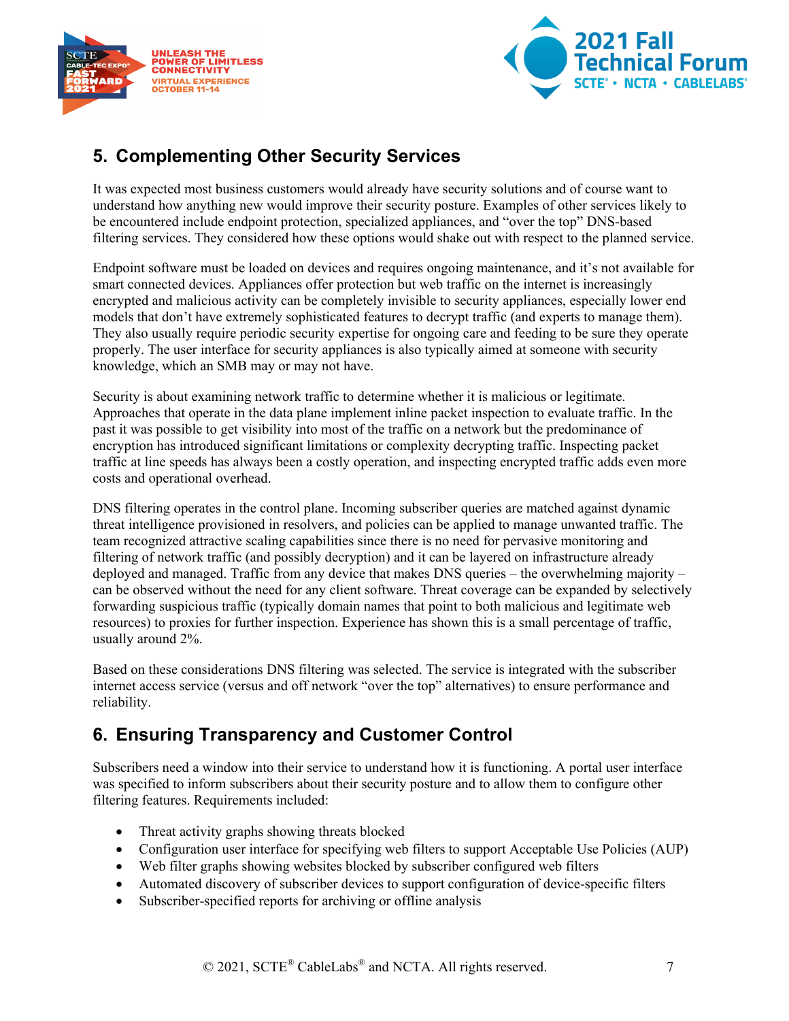



#### <span id="page-6-0"></span>**5. Complementing Other Security Services**

It was expected most business customers would already have security solutions and of course want to understand how anything new would improve their security posture. Examples of other services likely to be encountered include endpoint protection, specialized appliances, and "over the top" DNS-based filtering services. They considered how these options would shake out with respect to the planned service.

Endpoint software must be loaded on devices and requires ongoing maintenance, and it's not available for smart connected devices. Appliances offer protection but web traffic on the internet is increasingly encrypted and malicious activity can be completely invisible to security appliances, especially lower end models that don't have extremely sophisticated features to decrypt traffic (and experts to manage them). They also usually require periodic security expertise for ongoing care and feeding to be sure they operate properly. The user interface for security appliances is also typically aimed at someone with security knowledge, which an SMB may or may not have.

Security is about examining network traffic to determine whether it is malicious or legitimate. Approaches that operate in the data plane implement inline packet inspection to evaluate traffic. In the past it was possible to get visibility into most of the traffic on a network but the predominance of encryption has introduced significant limitations or complexity decrypting traffic. Inspecting packet traffic at line speeds has always been a costly operation, and inspecting encrypted traffic adds even more costs and operational overhead.

DNS filtering operates in the control plane. Incoming subscriber queries are matched against dynamic threat intelligence provisioned in resolvers, and policies can be applied to manage unwanted traffic. The team recognized attractive scaling capabilities since there is no need for pervasive monitoring and filtering of network traffic (and possibly decryption) and it can be layered on infrastructure already deployed and managed. Traffic from any device that makes DNS queries – the overwhelming majority – can be observed without the need for any client software. Threat coverage can be expanded by selectively forwarding suspicious traffic (typically domain names that point to both malicious and legitimate web resources) to proxies for further inspection. Experience has shown this is a small percentage of traffic, usually around 2%.

Based on these considerations DNS filtering was selected. The service is integrated with the subscriber internet access service (versus and off network "over the top" alternatives) to ensure performance and reliability.

#### <span id="page-6-1"></span>**6. Ensuring Transparency and Customer Control**

Subscribers need a window into their service to understand how it is functioning. A portal user interface was specified to inform subscribers about their security posture and to allow them to configure other filtering features. Requirements included:

- Threat activity graphs showing threats blocked
- Configuration user interface for specifying web filters to support Acceptable Use Policies (AUP)
- Web filter graphs showing websites blocked by subscriber configured web filters
- Automated discovery of subscriber devices to support configuration of device-specific filters
- Subscriber-specified reports for archiving or offline analysis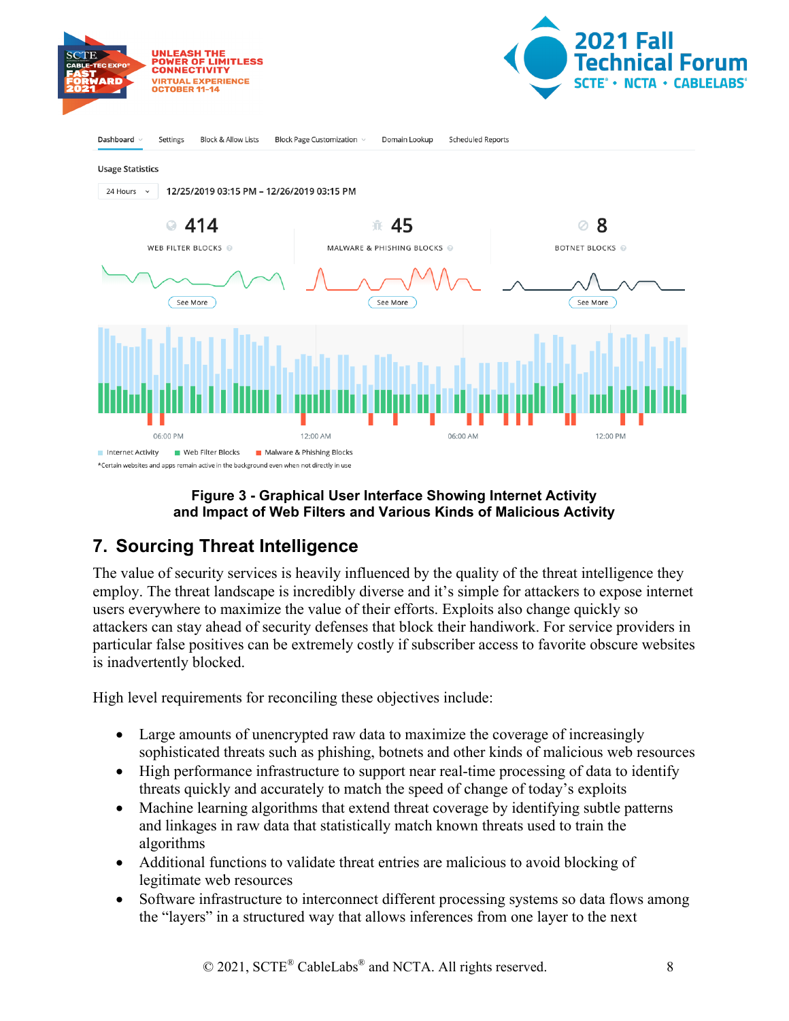





#### **Figure 3 - Graphical User Interface Showing Internet Activity and Impact of Web Filters and Various Kinds of Malicious Activity**

### <span id="page-7-1"></span><span id="page-7-0"></span>**7. Sourcing Threat Intelligence**

The value of security services is heavily influenced by the quality of the threat intelligence they employ. The threat landscape is incredibly diverse and it's simple for attackers to expose internet users everywhere to maximize the value of their efforts. Exploits also change quickly so attackers can stay ahead of security defenses that block their handiwork. For service providers in particular false positives can be extremely costly if subscriber access to favorite obscure websites is inadvertently blocked.

High level requirements for reconciling these objectives include:

- Large amounts of unencrypted raw data to maximize the coverage of increasingly sophisticated threats such as phishing, botnets and other kinds of malicious web resources
- High performance infrastructure to support near real-time processing of data to identify threats quickly and accurately to match the speed of change of today's exploits
- Machine learning algorithms that extend threat coverage by identifying subtle patterns and linkages in raw data that statistically match known threats used to train the algorithms
- Additional functions to validate threat entries are malicious to avoid blocking of legitimate web resources
- Software infrastructure to interconnect different processing systems so data flows among the "layers" in a structured way that allows inferences from one layer to the next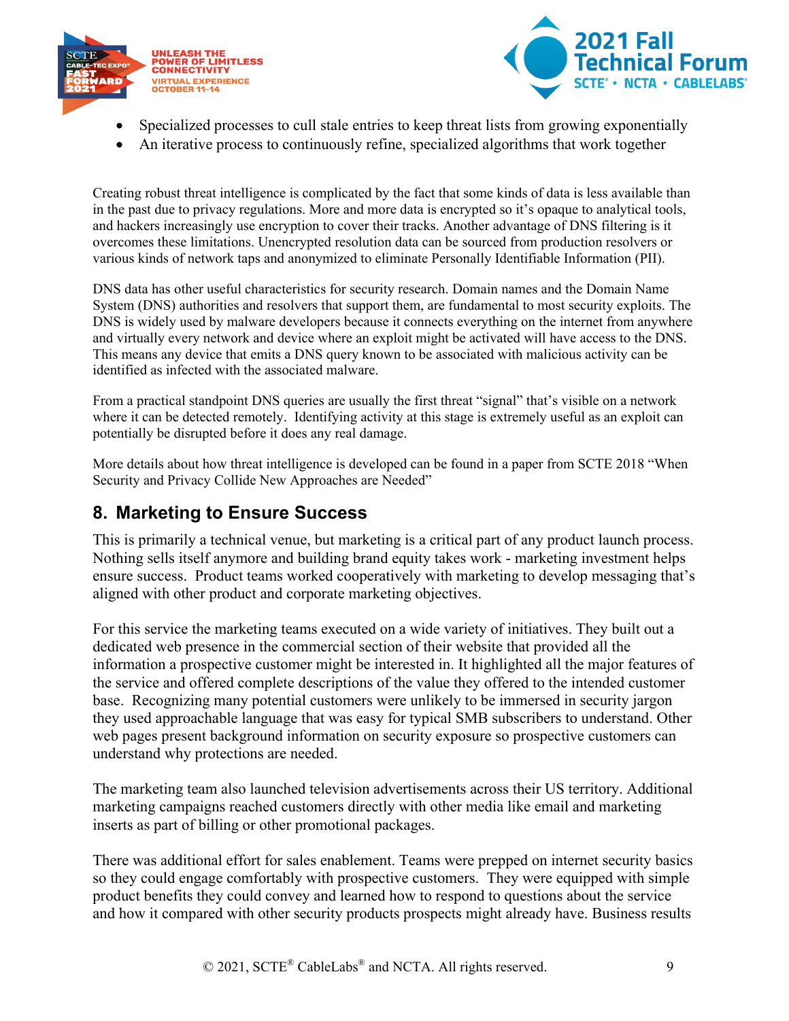



- Specialized processes to cull stale entries to keep threat lists from growing exponentially
- An iterative process to continuously refine, specialized algorithms that work together

Creating robust threat intelligence is complicated by the fact that some kinds of data is less available than in the past due to privacy regulations. More and more data is encrypted so it's opaque to analytical tools, and hackers increasingly use encryption to cover their tracks. Another advantage of DNS filtering is it overcomes these limitations. Unencrypted resolution data can be sourced from production resolvers or various kinds of network taps and anonymized to eliminate Personally Identifiable Information (PII).

DNS data has other useful characteristics for security research. Domain names and the Domain Name System (DNS) authorities and resolvers that support them, are fundamental to most security exploits. The DNS is widely used by malware developers because it connects everything on the internet from anywhere and virtually every network and device where an exploit might be activated will have access to the DNS. This means any device that emits a DNS query known to be associated with malicious activity can be identified as infected with the associated malware.

From a practical standpoint DNS queries are usually the first threat "signal" that's visible on a network where it can be detected remotely. Identifying activity at this stage is extremely useful as an exploit can potentially be disrupted before it does any real damage.

More details about how threat intelligence is developed can be found in a paper from SCTE 2018 "When Security and Privacy Collide New Approaches are Needed"

#### <span id="page-8-0"></span>**8. Marketing to Ensure Success**

This is primarily a technical venue, but marketing is a critical part of any product launch process. Nothing sells itself anymore and building brand equity takes work - marketing investment helps ensure success. Product teams worked cooperatively with marketing to develop messaging that's aligned with other product and corporate marketing objectives.

For this service the marketing teams executed on a wide variety of initiatives. They built out a dedicated web presence in the commercial section of their website that provided all the information a prospective customer might be interested in. It highlighted all the major features of the service and offered complete descriptions of the value they offered to the intended customer base. Recognizing many potential customers were unlikely to be immersed in security jargon they used approachable language that was easy for typical SMB subscribers to understand. Other web pages present background information on security exposure so prospective customers can understand why protections are needed.

The marketing team also launched television advertisements across their US territory. Additional marketing campaigns reached customers directly with other media like email and marketing inserts as part of billing or other promotional packages.

There was additional effort for sales enablement. Teams were prepped on internet security basics so they could engage comfortably with prospective customers. They were equipped with simple product benefits they could convey and learned how to respond to questions about the service and how it compared with other security products prospects might already have. Business results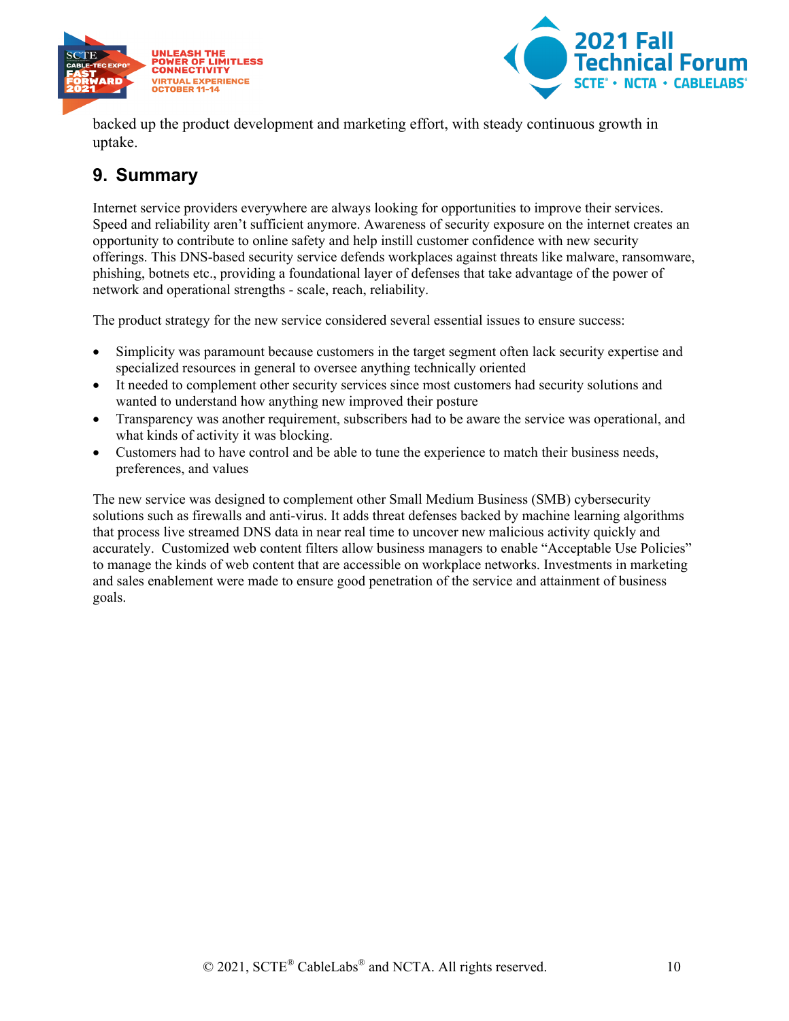



backed up the product development and marketing effort, with steady continuous growth in uptake.

#### <span id="page-9-0"></span>**9. Summary**

Internet service providers everywhere are always looking for opportunities to improve their services. Speed and reliability aren't sufficient anymore. Awareness of security exposure on the internet creates an opportunity to contribute to online safety and help instill customer confidence with new security offerings. This DNS-based security service defends workplaces against threats like malware, ransomware, phishing, botnets etc., providing a foundational layer of defenses that take advantage of the power of network and operational strengths - scale, reach, reliability.

The product strategy for the new service considered several essential issues to ensure success:

- Simplicity was paramount because customers in the target segment often lack security expertise and specialized resources in general to oversee anything technically oriented
- It needed to complement other security services since most customers had security solutions and wanted to understand how anything new improved their posture
- Transparency was another requirement, subscribers had to be aware the service was operational, and what kinds of activity it was blocking.
- Customers had to have control and be able to tune the experience to match their business needs, preferences, and values

The new service was designed to complement other Small Medium Business (SMB) cybersecurity solutions such as firewalls and anti-virus. It adds threat defenses backed by machine learning algorithms that process live streamed DNS data in near real time to uncover new malicious activity quickly and accurately. Customized web content filters allow business managers to enable "Acceptable Use Policies" to manage the kinds of web content that are accessible on workplace networks. Investments in marketing and sales enablement were made to ensure good penetration of the service and attainment of business goals.